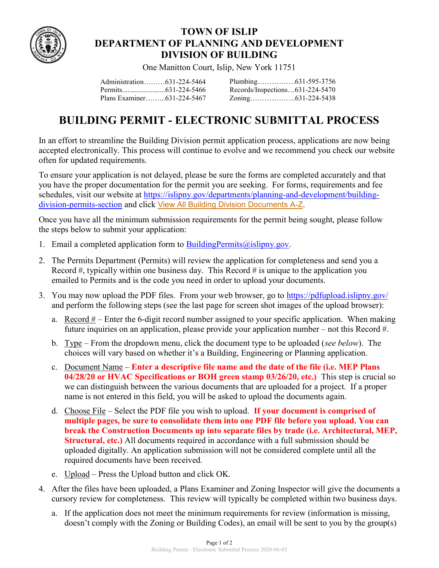

## TOWN OF ISLIP DEPARTMENT OF PLANNING AND DEVELOPMENT DIVISION OF BUILDING

One Manitton Court, Islip, New York 11751

Administration………631-224-5464 Permits........................631-224-5466 Plans Examiner……...631-224-5467 Plumbing…………….631-595-3756 Records/Inspections…631-224-5470 Zoning……………….631-224-5438

## BUILDING PERMIT - ELECTRONIC SUBMITTAL PROCESS

In an effort to streamline the Building Division permit application process, applications are now being accepted electronically. This process will continue to evolve and we recommend you check our website often for updated requirements.

To ensure your application is not delayed, please be sure the forms are completed accurately and that you have the proper documentation for the permit you are seeking. For forms, requirements and fee schedules, visit our website at https://islipny.gov/departments/planning-and-development/buildingdivision-permits-section and click View All Building Division Documents A-Z.

Once you have all the minimum submission requirements for the permit being sought, please follow the steps below to submit your application:

- 1. Email a completed application form to  $\frac{BuildingPermits@islipny.gov.$
- 2. The Permits Department (Permits) will review the application for completeness and send you a Record  $#$ , typically within one business day. This Record  $#$  is unique to the application you emailed to Permits and is the code you need in order to upload your documents.
- 3. You may now upload the PDF files. From your web browser, go to https://pdfupload.islipny.gov/ and perform the following steps (see the last page for screen shot images of the upload browser):
	- a. Record  $#$  Enter the 6-digit record number assigned to your specific application. When making future inquiries on an application, please provide your application number – not this Record #.
	- b. Type From the dropdown menu, click the document type to be uploaded (see below). The choices will vary based on whether it's a Building, Engineering or Planning application.
	- c. Document Name Enter a descriptive file name and the date of the file (i.e. MEP Plans 04/28/20 or HVAC Specifications or BOH green stamp 03/26/20, etc.) This step is crucial so we can distinguish between the various documents that are uploaded for a project. If a proper name is not entered in this field, you will be asked to upload the documents again.
	- d. Choose File Select the PDF file you wish to upload. If your document is comprised of multiple pages, be sure to consolidate them into one PDF file before you upload. You can break the Construction Documents up into separate files by trade (i.e. Architectural, MEP, Structural, etc.) All documents required in accordance with a full submission should be uploaded digitally. An application submission will not be considered complete until all the required documents have been received.
	- e. Upload Press the Upload button and click OK.
- 4. After the files have been uploaded, a Plans Examiner and Zoning Inspector will give the documents a cursory review for completeness. This review will typically be completed within two business days.
	- a. If the application does not meet the minimum requirements for review (information is missing, doesn't comply with the Zoning or Building Codes), an email will be sent to you by the group(s)